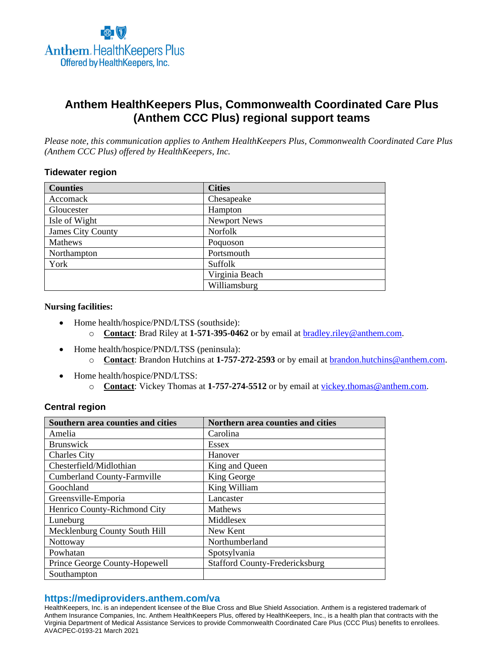

# **Anthem HealthKeepers Plus, Commonwealth Coordinated Care Plus (Anthem CCC Plus) regional support teams**

*Please note, this communication applies to Anthem HealthKeepers Plus, Commonwealth Coordinated Care Plus (Anthem CCC Plus) offered by HealthKeepers, Inc.*

## **Tidewater region**

| <b>Counties</b>   | <b>Cities</b>       |
|-------------------|---------------------|
| Accomack          | Chesapeake          |
| Gloucester        | Hampton             |
| Isle of Wight     | <b>Newport News</b> |
| James City County | Norfolk             |
| Mathews           | Poquoson            |
| Northampton       | Portsmouth          |
| York              | Suffolk             |
|                   | Virginia Beach      |
|                   | Williamsburg        |

#### **Nursing facilities:**

- Home health/hospice/PND/LTSS (southside): o **Contact**: Brad Riley at **1-571-395-0462** or by email at [bradley.riley@anthem.com.](mailto:bradley.riley@anthem.com)
- Home health/hospice/PND/LTSS (peninsula):
	- o **Contact**: Brandon Hutchins at **1-757-272-2593** or by email at [brandon.hutchins@anthem.com.](mailto:brandon.hutchins@anthem.com)
- Home health/hospice/PND/LTSS:
	- o **Contact**: Vickey Thomas at **1-757-274-5512** or by email at [vickey.thomas@anthem.com.](mailto:vickey.thomas@anthem.com)

# **Central region**

| Southern area counties and cities  | Northern area counties and cities     |
|------------------------------------|---------------------------------------|
| Amelia                             | Carolina                              |
| <b>Brunswick</b>                   | Essex                                 |
| <b>Charles City</b>                | Hanover                               |
| Chesterfield/Midlothian            | King and Queen                        |
| <b>Cumberland County-Farmville</b> | King George                           |
| Goochland                          | King William                          |
| Greensville-Emporia                | Lancaster                             |
| Henrico County-Richmond City       | <b>Mathews</b>                        |
| Luneburg                           | Middlesex                             |
| Mecklenburg County South Hill      | New Kent                              |
| Nottoway                           | Northumberland                        |
| Powhatan                           | Spotsylvania                          |
| Prince George County-Hopewell      | <b>Stafford County-Fredericksburg</b> |
| Southampton                        |                                       |

# **https://mediproviders.anthem.com/va**

HealthKeepers, Inc. is an independent licensee of the Blue Cross and Blue Shield Association. Anthem is a registered trademark of Anthem Insurance Companies, Inc. Anthem HealthKeepers Plus, offered by HealthKeepers, Inc., is a health plan that contracts with the Virginia Department of Medical Assistance Services to provide Commonwealth Coordinated Care Plus (CCC Plus) benefits to enrollees. AVACPEC-0193-21 March 2021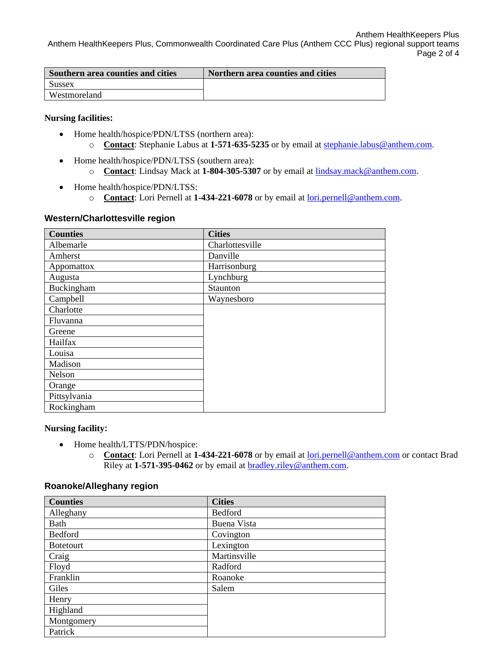Anthem HealthKeepers Plus Anthem HealthKeepers Plus, Commonwealth Coordinated Care Plus (Anthem CCC Plus) regional support teams Page 2 of 4

| Southern area counties and cities | Northern area counties and cities |
|-----------------------------------|-----------------------------------|
| Sussex                            |                                   |
| Westmoreland                      |                                   |

## **Nursing facilities:**

- Home health/hospice/PDN/LTSS (northern area): o **Contact**: Stephanie Labus at **1-571-635-5235** or by email at [stephanie.labus@anthem.com.](mailto:stephanie.labus@anthem.com)
- Home health/hospice/PDN/LTSS (southern area): o **Contact**: Lindsay Mack at **1-804-305-5307** or by email at [lindsay.mack@anthem.com.](mailto:lindsay.mack@anthem.com)
- Home health/hospice/PDN/LTSS:
	- o **Contact**: Lori Pernell at **1-434-221-6078** or by email at [lori.pernell@anthem.com.](mailto:lori.pernell@anthem.com)

## **Western/Charlottesville region**

| <b>Counties</b> | <b>Cities</b>   |
|-----------------|-----------------|
| Albemarle       | Charlottesville |
| Amherst         | Danville        |
| Appomattox      | Harrisonburg    |
| Augusta         | Lynchburg       |
| Buckingham      | Staunton        |
| Campbell        | Waynesboro      |
| Charlotte       |                 |
| Fluvanna        |                 |
| Greene          |                 |
| Hailfax         |                 |
| Louisa          |                 |
| Madison         |                 |
| Nelson          |                 |
| Orange          |                 |
| Pittsylvania    |                 |
| Rockingham      |                 |

# **Nursing facility:**

- Home health/LTTS/PDN/hospice:
	- o **Contact**: Lori Pernell at **1-434-221-6078** or by email at [lori.pernell@anthem.com](mailto:lori.pernell@anthem.com) or contact Brad Riley at **1-571-395-0462** or by email at [bradley.riley@anthem.com.](mailto:bradley.riley@anthem.com)

## **Roanoke/Alleghany region**

| <b>Counties</b>  | <b>Cities</b>      |
|------------------|--------------------|
| Alleghany        | Bedford            |
| Bath             | <b>Buena Vista</b> |
| Bedford          | Covington          |
| <b>Botetourt</b> | Lexington          |
| Craig            | Martinsville       |
| Floyd            | Radford            |
| Franklin         | Roanoke            |
| Giles            | Salem              |
| Henry            |                    |
| Highland         |                    |
| Montgomery       |                    |
| Patrick          |                    |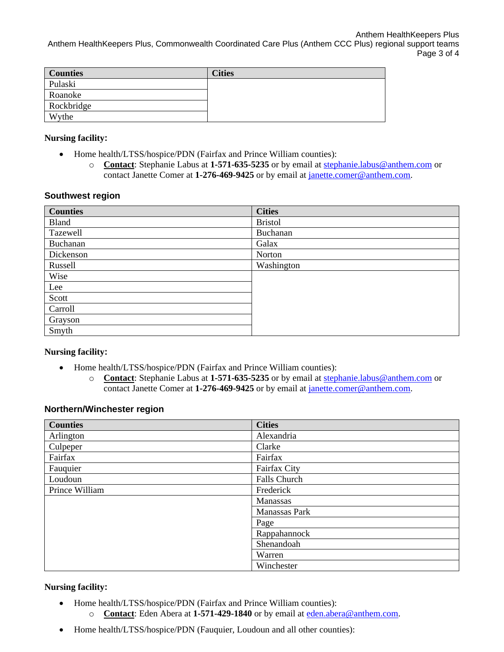Anthem HealthKeepers Plus Anthem HealthKeepers Plus, Commonwealth Coordinated Care Plus (Anthem CCC Plus) regional support teams Page 3 of 4

| <b>Counties</b> | <b>Cities</b> |
|-----------------|---------------|
| Pulaski         |               |
| Roanoke         |               |
| Rockbridge      |               |
| Wythe           |               |

## **Nursing facility:**

- Home health/LTSS/hospice/PDN (Fairfax and Prince William counties):
	- o **Contact**: Stephanie Labus at **1-571-635-5235** or by email at [stephanie.labus@anthem.com](mailto:stephanie.labus@anthem.com) or contact Janette Comer at 1-276-469-9425 or by email at [janette.comer@anthem.com.](mailto:janette.comer@anthem.com)

## **Southwest region**

| <b>Counties</b> | <b>Cities</b>  |
|-----------------|----------------|
| Bland           | <b>Bristol</b> |
| Tazewell        | Buchanan       |
| Buchanan        | Galax          |
| Dickenson       | Norton         |
| Russell         | Washington     |
| Wise            |                |
| Lee             |                |
| Scott           |                |
| Carroll         |                |
| Grayson         |                |
| Smyth           |                |

## **Nursing facility:**

- Home health/LTSS/hospice/PDN (Fairfax and Prince William counties):
	- o **Contact**: Stephanie Labus at **1-571-635-5235** or by email at [stephanie.labus@anthem.com](mailto:stephanie.labus@anthem.com) or contact Janette Comer at 1-276-469-9425 or by email at [janette.comer@anthem.com.](mailto:janette.comer@anthem.com)

## **Northern/Winchester region**

| <b>Counties</b> | <b>Cities</b>       |
|-----------------|---------------------|
| Arlington       | Alexandria          |
| Culpeper        | Clarke              |
| Fairfax         | Fairfax             |
| Fauquier        | Fairfax City        |
| Loudoun         | <b>Falls Church</b> |
| Prince William  | Frederick           |
|                 | Manassas            |
|                 | Manassas Park       |
|                 | Page                |
|                 | Rappahannock        |
|                 | Shenandoah          |
|                 | Warren              |
|                 | Winchester          |

# **Nursing facility:**

- Home health/LTSS/hospice/PDN (Fairfax and Prince William counties):
	- o **Contact**: Eden Abera at **1-571-429-1840** or by email at [eden.abera@anthem.com.](mailto:eden.abera@anthem.com)
- Home health/LTSS/hospice/PDN (Fauquier, Loudoun and all other counties):